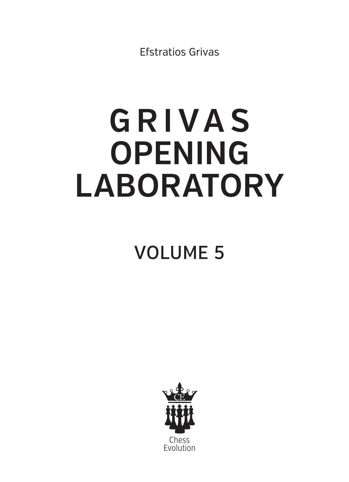Efstratios Grivas

# **GRIVAS OPENING LABORATORY**

## VOLUME 5

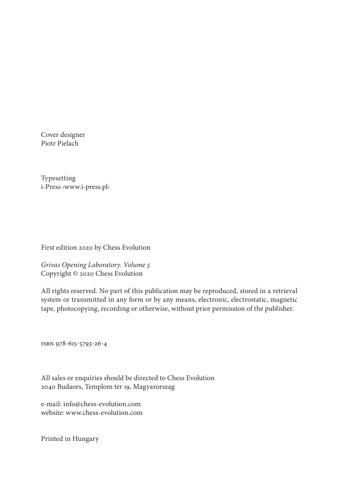Cover designer Piotr Pielach

Typesetting i-Press ‹www.i-press.pl›

First edition 2020 by Chess Evolution

*Grivas Opening Laboratory. Volume 5* Copyright © 2020 Chess Evolution

All rights reserved. No part of this publication may be reproduced, stored in a retrieval system or transmitted in any form or by any means, electronic, electrostatic, magnetic tape, photocopying, recording or otherwise, without prior permission of the publisher.

ISBN 978-615-5793-26-4

All sales or enquiries should be directed to Chess Evolution 2040 Budaors, Templom ter 19, Magyarorszag

e-mail: info@chess-evolution.com website: www.chess-evolution.com

Printed in Hungary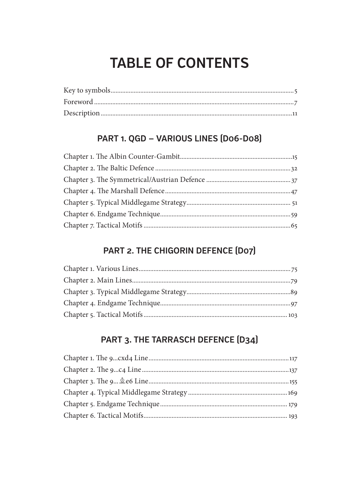### **TABLE OF CONTENTS**

### PART 1. QGD - VARIOUS LINES [Do6-Do8]

### PART 2. THE CHIGORIN DEFENCE [Do7]

### PART 3. THE TARRASCH DEFENCE [D34]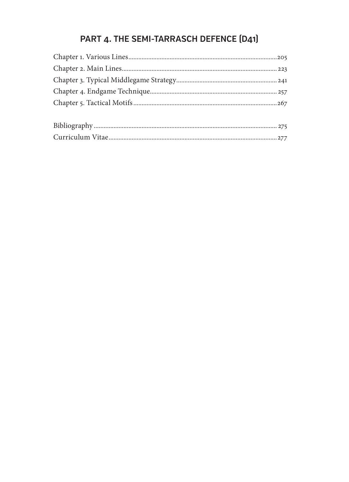### PART 4. THE SEMI-TARRASCH DEFENCE (D41)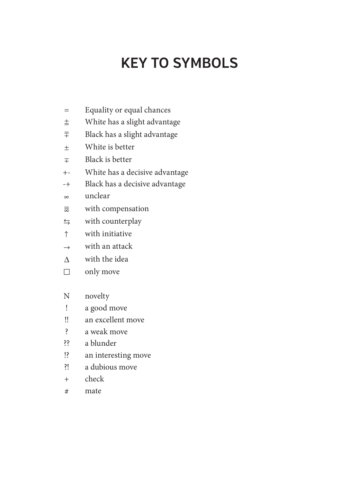### **KEY TO SYMBOLS**

- = Equality or equal chances
- $\pm$  White has a slight advantage
- $\overline{F}$  Black has a slight advantage
- $\pm$  White is better
- $\mp$  Black is better
- +- White has a decisive advantage
- -+ Black has a decisive advantage
- unclear
- with compensation
- $\leq$  with counterplay
- $\uparrow$  with initiative
- $\rightarrow$  with an attack
- $\Lambda$  with the idea
- $\Box$  only move
- N novelty
- ! a good move
- !! an excellent move
- ? a weak move
- ?? a blunder
- !? an interesting move
- ?! a dubious move
- + check
- # mate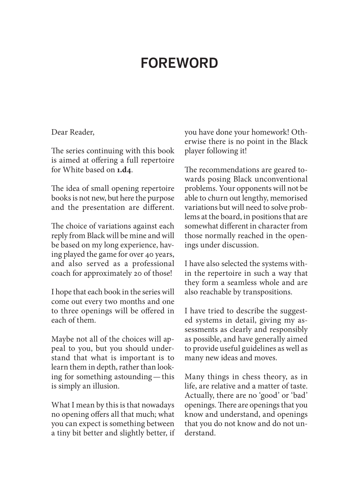### **FOREWORD**

#### Dear Reader,

The series continuing with this book is aimed at offering a full repertoire for White based on **1.d4**.

The idea of small opening repertoire books is not new, but here the purpose and the presentation are different.

The choice of variations against each reply from Black will be mine and will be based on my long experience, having played the game for over 40 years, and also served as a professional coach for approximately 20 of those!

I hope that each book in the series will come out every two months and one to three openings will be offered in each of them.

Maybe not all of the choices will appeal to you, but you should understand that what is important is to learn them in depth, rather than looking for something astounding — this is simply an illusion.

What I mean by this is that nowadays no opening offers all that much; what you can expect is something between a tiny bit better and slightly better, if you have done your homework! Otherwise there is no point in the Black player following it!

The recommendations are geared towards posing Black unconventional problems. Your opponents will not be able to churn out lengthy, memorised variations but will need to solve problems at the board, in positions that are somewhat different in character from those normally reached in the openings under discussion.

I have also selected the systems within the repertoire in such a way that they form a seamless whole and are also reachable by transpositions.

I have tried to describe the suggested systems in detail, giving my assessments as clearly and responsibly as possible, and have generally aimed to provide useful guidelines as well as many new ideas and moves.

Many things in chess theory, as in life, are relative and a matter of taste. Actually, there are no 'good' or 'bad' openings. There are openings that you know and understand, and openings that you do not know and do not understand.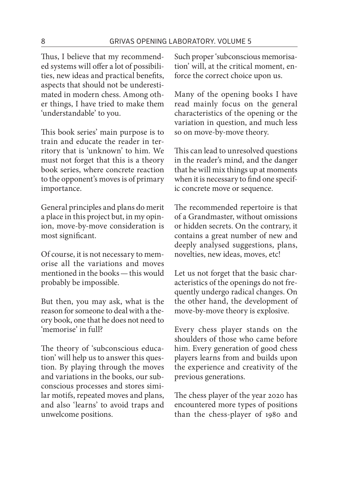Thus, I believe that my recommended systems will offer a lot of possibilities, new ideas and practical benefits, aspects that should not be underestimated in modern chess. Among other things, I have tried to make them 'understandable' to you.

This book series' main purpose is to train and educate the reader in territory that is 'unknown' to him. We must not forget that this is a theory book series, where concrete reaction to the opponent's moves is of primary importance.

General principles and plans do merit a place in this project but, in my opinion, move-by-move consideration is most significant.

Of course, it is not necessary to memorise all the variations and moves mentioned in the books — this would probably be impossible.

But then, you may ask, what is the reason for someone to deal with a theory book, one that he does not need to 'memorise' in full?

The theory of 'subconscious education' will help us to answer this question. By playing through the moves and variations in the books, our subconscious processes and stores similar motifs, repeated moves and plans, and also 'learns' to avoid traps and unwelcome positions.

Such proper 'subconscious memorisation' will, at the critical moment, enforce the correct choice upon us.

Many of the opening books I have read mainly focus on the general characteristics of the opening or the variation in question, and much less so on move-by-move theory.

This can lead to unresolved questions in the reader's mind, and the danger that he will mix things up at moments when it is necessary to find one specific concrete move or sequence.

The recommended repertoire is that of a Grandmaster, without omissions or hidden secrets. On the contrary, it contains a great number of new and deeply analysed suggestions, plans, novelties, new ideas, moves, etc!

Let us not forget that the basic characteristics of the openings do not frequently undergo radical changes. On the other hand, the development of move-by-move theory is explosive.

Every chess player stands on the shoulders of those who came before him. Every generation of good chess players learns from and builds upon the experience and creativity of the previous generations.

The chess player of the year 2020 has encountered more types of positions than the chess-player of 1980 and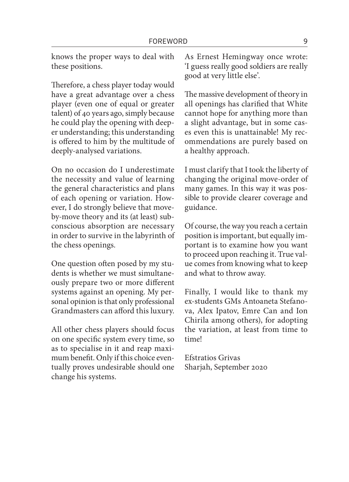knows the proper ways to deal with these positions.

Therefore, a chess player today would have a great advantage over a chess player (even one of equal or greater talent) of 40 years ago, simply because he could play the opening with deeper understanding; this understanding is offered to him by the multitude of deeply-analysed variations.

On no occasion do I underestimate the necessity and value of learning the general characteristics and plans of each opening or variation. However, I do strongly believe that moveby-move theory and its (at least) subconscious absorption are necessary in order to survive in the labyrinth of the chess openings.

One question often posed by my students is whether we must simultaneously prepare two or more different systems against an opening. My personal opinion is that only professional Grandmasters can afford this luxury.

All other chess players should focus on one specific system every time, so as to specialise in it and reap maximum benefit. Only if this choice eventually proves undesirable should one change his systems.

As Ernest Hemingway once wrote: 'I guess really good soldiers are really good at very little else'.

The massive development of theory in all openings has clarified that White cannot hope for anything more than a slight advantage, but in some cases even this is unattainable! My recommendations are purely based on a healthy approach.

I must clarify that I took the liberty of changing the original move-order of many games. In this way it was possible to provide clearer coverage and guidance.

Of course, the way you reach a certain position is important, but equally important is to examine how you want to proceed upon reaching it. True value comes from knowing what to keep and what to throw away.

Finally, I would like to thank my ex-students GMs Antoaneta Stefanova, Alex Ipatov, Emre Can and Ion Chirila among others), for adopting the variation, at least from time to time!

Efstratios Grivas Sharjah, September 2020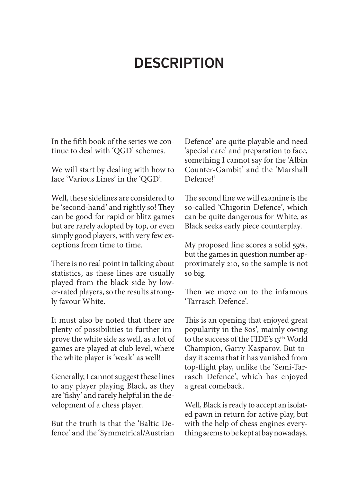### **DESCRIPTION**

In the fifth book of the series we continue to deal with 'QGD' schemes.

We will start by dealing with how to face 'Various Lines' in the 'QGD'.

Well, these sidelines are considered to be 'second-hand' and rightly so! They can be good for rapid or blitz games but are rarely adopted by top, or even simply good players, with very few exceptions from time to time.

There is no real point in talking about statistics, as these lines are usually played from the black side by lower-rated players, so the results strongly favour White.

It must also be noted that there are plenty of possibilities to further improve the white side as well, as a lot of games are played at club level, where the white player is 'weak' as well!

Generally, I cannot suggest these lines to any player playing Black, as they are 'fishy' and rarely helpful in the development of a chess player.

But the truth is that the 'Baltic Defence' and the 'Symmetrical/Austrian Defence' are quite playable and need 'special care' and preparation to face, something I cannot say for the 'Albin Counter-Gambit' and the 'Marshall Defence!'

The second line we will examine is the so-called 'Chigorin Defence', which can be quite dangerous for White, as Black seeks early piece counterplay.

My proposed line scores a solid 59%, but the games in question number approximately 210, so the sample is not so big.

Then we move on to the infamous 'Tarrasch Defence'.

This is an opening that enjoyed great popularity in the 80s', mainly owing to the success of the FIDE's 13th World Champion, Garry Kasparov. But today it seems that it has vanished from top-flight play, unlike the 'Semi-Tarrasch Defence', which has enjoyed a great comeback.

Well, Black is ready to accept an isolated pawn in return for active play, but with the help of chess engines everything seems to be kept at bay nowadays.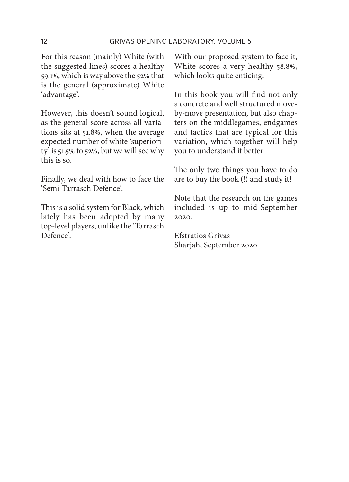For this reason (mainly) White (with the suggested lines) scores a healthy 59.1%, which is way above the 52% that is the general (approximate) White 'advantage'.

However, this doesn't sound logical, as the general score across all variations sits at 51.8%, when the average expected number of white 'superiority' is 51.5% to 52%, but we will see why this is so.

Finally, we deal with how to face the 'Semi-Tarrasch Defence'.

This is a solid system for Black, which lately has been adopted by many top-level players, unlike the 'Tarrasch Defence'.

With our proposed system to face it, White scores a very healthy 58.8%, which looks quite enticing.

In this book you will find not only a concrete and well structured moveby-move presentation, but also chapters on the middlegames, endgames and tactics that are typical for this variation, which together will help you to understand it better.

The only two things you have to do are to buy the book (!) and study it!

Note that the research on the games included is up to mid-September 2020.

Efstratios Grivas Sharjah, September 2020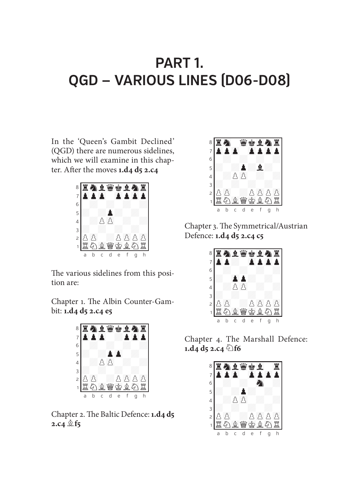### **PART 1. QGD — VARIOUS LINES (D06-D08)**

In the 'Queen's Gambit Declined' (QGD) there are numerous sidelines, which we will examine in this chapter. After the moves **1.d<sub>4</sub>** d<sub>5</sub> 2.c<sub>4</sub><br>8 **A**  $\frac{1}{2}$ the moves  $1.04$   $05$  2



The various sidelines from this position are:

Chapter 1. The Albin Counter-Gambit: **1.d<sub>4</sub> d<sub>5</sub>** 2.c<sub>4</sub> e5<br>
8 **x**  $\bullet$  W  $\bullet$  9 **x**  $\frac{1}{2}$ .c4 e5



Chapter 2. The Baltic Defence: **1.d4 d5 2.c4 f5**



Chapter 3. The Symmetrical/Austrian Defence: **1.d<sub>4</sub>** d<sub>5</sub> 2.c<sub>4</sub> c<sub>5</sub><br>
8 **x** e ₩ • 9 A X  $1.04$   $05$   $2.04$   $05$ 



Chapter 4. The Marshall Defence: **1.d<sub>4</sub> d<sub>5</sub> 2.c<sub>4</sub>**  $\frac{1}{2}$ **6**<br>8 **x**  $\frac{1}{2}$   $\frac{1}{2}$   $\frac{1}{2}$   $\frac{1}{2}$  $C4 \trianglelefteq$ IO

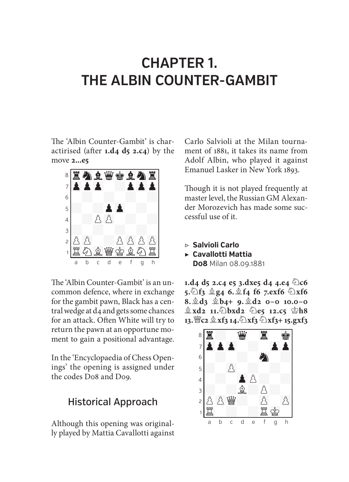### **CHAPTER 1. THE ALBIN COUNTER-GAMBIT**

The 'Albin Counter-Gambit' is charactirised (after **1.d4 d5 2.c4**) by the move **2...e5** Albin Counter-Gambit is<br>rised (after 1.d4 d5 2.c4) by<br>e 2...e5<br>8 **A** A W  $\bullet$  A A A  $\frac{1}{2}$  expansive 1.04 05 2.04) b



The 'Albin Counter-Gambit' is an uncommon defence, where in exchange for the gambit pawn, Black has a central wedge at d4 and gets some chances for an attack. Often White will try to return the pawn at an opportune moment to gain a positional advantage.

In the 'Encyclopaedia of Chess Openings' the opening is assigned under the codes D08 and D09.

### Historical Approach

Although this opening was originally played by Mattia Cavallotti against Carlo Salvioli at the Milan tournament of 1881, it takes its name from Adolf Albin, who played it against Emanuel Lasker in New York 1893.

Though it is not played frequently at master level, the Russian GM Alexander Morozevich has made some successful use of it.

- **▷ Salvioli Carlo**
- **▶ Cavallotti Mattia D08** Milan 08.09.1881

**1.d4 d5 2.c4 e5 3.dxe5 d4 4.e4 c6 5.f3 g4 6.f4 f6 7.exf6 xf6 8.d3 b4+ 9.d2 0–0 10.0–0 xd2 11.bxd2 e5 12.c5 h8 13. c**2 **11.** 20x02 2 e5 12.c5 \dio 13. **c**2 **2** xf3 14. 2 xf3 *\dig* xf3 + 15.gxf3 (d3  $\&$  b4+ 9. $\&$  d2 0-0 10<br>
12 11. bxd2 2e5 12.c5<br>
8 **F** and the set of  $\&$  s

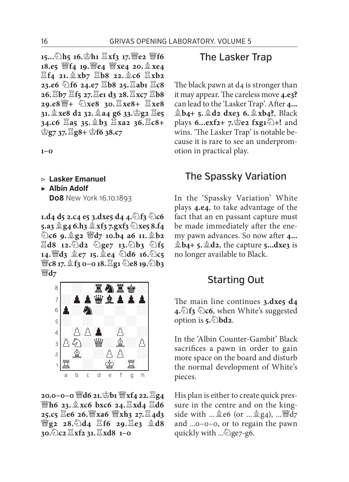**15...h5 16.h1 xf3 17.e2 f6 18.e5 f4 19.e4 xe4 20.xe4 f4 21.xb7 b8 22.c6 xb2 23.e6 f6 24.e7 b8 25.ab1 c8 26.b7 f5 27.e1 d3 28.xc7 b8 29.e8+ xe8 30.xe8+ xe8 31.xe8 d2 32.a4 g6 33.g2 e5 34.c6 a5 35.b3 xa2 36.c8+ g7 37.g8+ f6 38.c7**

**1–0**

- **▷ Lasker Emanuel**
- **▶ Albin Adolf D08** New York 16.10.1893

**1.d4 d5 2.c4 e5 3.dxe5 d4 4.f3 c6 5.a3 g4 6.h3 xf3 7.gxf3 xe5 8.f4 c6 9.g2 d7 10.b4 a6 11.b2 d8 12.d2 ge7 13.b3 f5 14.d3 e7 15.e4 d6 16.c5 c8 17.f3 0–0 18.g1 e8 19.b3 幽d7** <sup>8</sup> -+-trntrk+ +pzpqvlpzpp



**20.0–0–0 d6 21.b1 xf4 22.g4 h6 23.xc6 bxc6 24.xd4 d6 25.c5 e6 26.xa6 xh3 27.4d3 g2 28.d4 f6 29.e3 d8 30.c2 xf2 31.xd8 1–0**

### The Lasker Trap

The black pawn at  $d_4$  is stronger than it may appear. The careless move 4.e3? can lead to the 'Lasker Trap'. After 4... **b4+ 5.d2 dxe3 6.xb4?**, Black plays **6...exf2+ 7.e2 fxg1+!** and wins. 'The Lasker Trap' is notable because it is rare to see an underpromotion in practical play.

#### The Spassky Variation

In the 'Spassky Variation' White plays **4.e4**, to take advantage of the fact that an en passant capture must be made immediately after the enemy pawn advances. So now after 4... **b4+ 5.d2**, the capture **5...dxe3** is no longer available to Black.

#### Starting Out

The main line continues **3.dxe5** d4 **4.**  $\bigcirc$  **f3**  $\bigcirc$  **c6**, when White's suggested option is **5.bd2**.

In the 'Albin Counter-Gambit' Black sacrifices a pawn in order to gain more space on the board and disturb the normal development of White's pieces.

His plan is either to create quick pressure in the centre and on the kingside with  $\ldots$   $\&e6$  (or  $\ldots \&g4)$ ,  $\ldots$   $\mathscr{H}d7$ and ...0–0–0, or to regain the pawn quickly with  $\mathcal{L}$ gez-g6.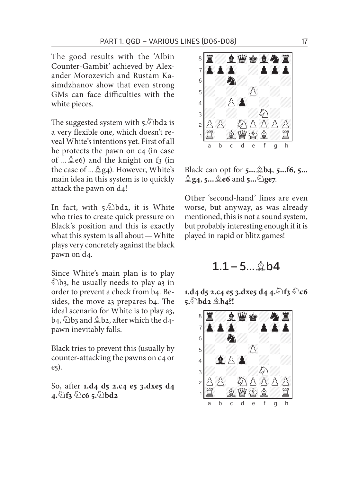The good results with the 'Albin Counter-Gambit' achieved by Alexander Morozevich and Rustam Kasimdzhanov show that even strong GMs can face difficulties with the white pieces.

The suggested system with  $5.$  bd2 is a very flexible one, which doesn't reveal White's intentions yet. First of all he protects the pawn on c4 (in case of  $\ldots$   $\&e6$ ) and the knight on f<sub>3</sub> (in the case of ...  $\&$  g4). However, White's main idea in this system is to quickly attack the pawn on d4!

In fact, with  $5.\overline{\triangle}$ bd2, it is White who tries to create quick pressure on Black's position and this is exactly what this system is all about — White plays very concretely against the black pawn on d4.

Since White's main plan is to play  $\&$  b<sub>3</sub>, he usually needs to play a<sub>3</sub> in order to prevent a check from b4. Besides, the move as prepares b4. The ideal scenario for White is to play a3,  $b_4$ ,  $\&$   $b_3$  and  $\&$   $b_2$ , after which the d<sub>4</sub>pawn inevitably falls.

Black tries to prevent this (usually by counter-attacking the pawns on c4 or e5).

So, after **1.d4 d5 2.c4 e5 3.dxe5 d4 4.f3 c6 5.bd2** 



Black can opt for **5...b4**, **5...f6**, **5... g4**, **5...e6** and **5...ge7**.

Other 'second-hand' lines are even worse, but anyway, as was already mentioned, this is not a sound system, but probably interesting enough if it is played in rapid or blitz games!

### $1.1 - 5...$  \$  $b4$

**1.d4 d5 2.c4 e5 3.dxe5 d4 4.f3 c6 5.bd2 b4?!**  <sup>8</sup> r+lwqk+ntr 5 2.04 e5 3.0xe5 04 4. 213<br>I2 \$ b4?!

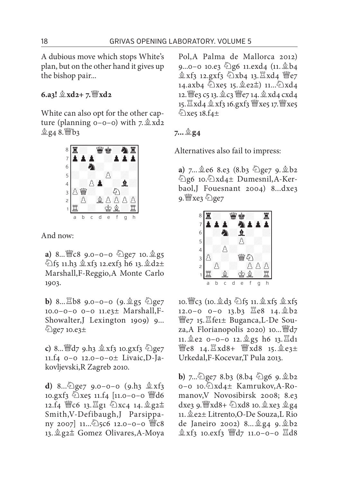A dubious move which stops White's plan, but on the other hand it gives up the bishop pair...

#### **6.a3! xd2+ 7.xd2**

White can also opt for the other capture (planning 0–0–0) with 7.xd2 <sup>8</sup> r+-wqk+ntr  $2g_4 8.$  Wb3  $p_3$ 



And now:

**a**) 8... *ecs* 9.0–0–0 2 ge7 10. **g**<sub>2</sub>g5  $\hat{\mathbb{Z}}$ f5 11.h3  $\hat{\mathbb{Z}}$ xf3 12.exf3 h6 13. $\hat{\mathbb{Z}}$ d2 $\pm$ Marshall,F-Reggio,A Monte Carlo 1903.

**b**) 8... $\Xi$ b8 9.0–0–0 (9. $\angle$ gg5  $\angle$ gez 10.0–0–0 0–0 11.e3± Marshall,F-Showalter,J Lexington 1909) 9...  $\Diamond$ ge7 10.e3 $\pm$ 

**c)** 8... 曾d7 9.h3  $\&$  xf3 10.gxf3 ②ge7 11.f4 0-0 12.0-0-0± Livaic,D-Jakovljevski,R Zagreb 2010.

**d**) 8... [ge7 9.0-0-0 (9.h3  $\&$  xf3 10.gxf3 xe5 11.f4 [11.0–0–0 d6 12.f4  $\mathbb{C}$ c6 13. $\mathbb{Z}$ g1  $\mathbb{Z}$ xc4 14. $\mathbb{Q}$ g2 $\pm$ Smith,V-Defibaugh,J Parsippany 2007 11... 25c6 12.0-0-0 曾c8 13. g2<sup>±</sup> Gomez Olivares, A-Moya Pol,A Palma de Mallorca 2012) 9...0–0 10.e3  $\bigcirc$  g6 11.exd4 (11.  $\&$  b4  $\&$  xf3 12.gxf3  $\&$ xb4 13. $\&$ xd4  $\&$ e7 14.axb4  $\&$  xe5 15.  $\&$  e2 $\pm$ ) 11... $\&$  xd4 12. e3 c5 13. 2c3 eg e7 14. 2 xd4 cxd4 15. Axd4 & xf3 16.gxf3 \cos 17. \cos 17. \cos  $\&$  xe5 18.f4 $\pm$ 

**7...g4**

Alternatives also fail to impress:

**a**) 7... <u>ee</u> 6 8.e3 (8.b3 2 ge7 9. eb2 ⊘g6 10. Zxd4± Dumesnil, A-Kerbaol,J Fouesnant 2004) 8...dxe3<br>9.曾xe3 ②ge7<br>8 **買 曹。 買**  $9.$  W xe3  $\oslash$  ge7



10. c3 (10. 2d3 1f5 11. 2xf5 2xf5 12.0–0 0–0 13.b3 e8 14. b2  $\mathbb{E}$ e7 15. $\mathbb{E}$ fe1± Buganca,L-De Sou $z$ a,A Florianopolis 2020) 10... $\mathbb{Z}$ d7 11.  $2e2$  0-0-0 12.  $2g5$  h6 13.  $\mathbb{Z}$ d1  $\frac{20}{26}$ e8 14. $\frac{20}{2}$ xd8+  $\frac{100}{28}$ xd8 15. $\frac{4}{2}$ e3± Urkedal,F-Kocevar,T Pula 2013.

**b**) 7... $\&$  ge7 8.b3 (8.b4  $\&$  g6 9.  $\&$  b2 0–0 10. Axd4± Kamrukov, A-Romanov,V Novosibirsk 2008; 8.e3 dxe3 9.  $\mathbb{Z}$ xd8 +  $\mathbb{Z}$ xd8 10.  $\mathbb{Z}$ xe3  $\mathbb{Z}$ g4 11. ĝe2± Litrento,O-De Souza,L Rio de Janeiro 2002) 8...  $\&$  g4 9.  $\&$  b2 **盒xf3 10.exf3 ■d7 11.0-0-0 罩d8**